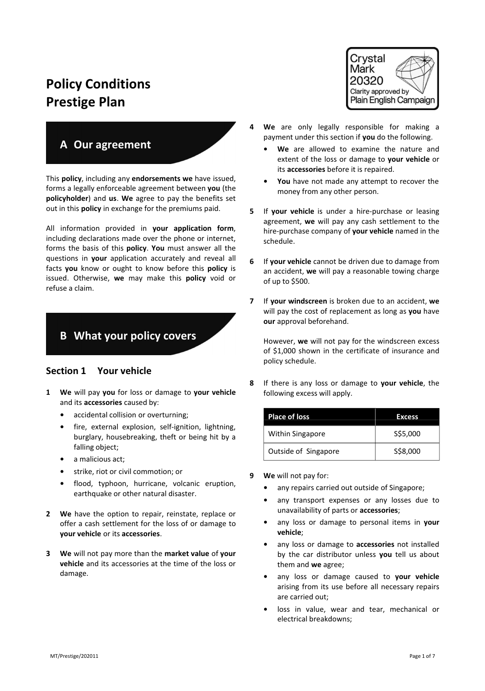# Policy Conditions Prestige Plan

# A Our agreement

This policy, including any endorsements we have issued, forms a legally enforceable agreement between you (the policyholder) and us. We agree to pay the benefits set out in this **policy** in exchange for the premiums paid.

All information provided in your application form, including declarations made over the phone or internet, forms the basis of this policy. You must answer all the questions in your application accurately and reveal all facts you know or ought to know before this policy is issued. Otherwise, we may make this policy void or refuse a claim.

# B What your policy covers

## Section 1 Your vehicle

- 1 We will pay you for loss or damage to your vehicle and its accessories caused by:
	- accidental collision or overturning;
	- fire, external explosion, self-ignition, lightning, burglary, housebreaking, theft or being hit by a falling object;
	- a malicious act;
	- strike, riot or civil commotion; or
	- flood, typhoon, hurricane, volcanic eruption, earthquake or other natural disaster.
- 2 We have the option to repair, reinstate, replace or offer a cash settlement for the loss of or damage to your vehicle or its accessories.
- 3 We will not pay more than the market value of your vehicle and its accessories at the time of the loss or damage.



- 4 We are only legally responsible for making a payment under this section if you do the following.
	- We are allowed to examine the nature and extent of the loss or damage to your vehicle or its accessories before it is repaired.
	- You have not made any attempt to recover the money from any other person.
- 5 If your vehicle is under a hire-purchase or leasing agreement, we will pay any cash settlement to the hire-purchase company of your vehicle named in the schedule.
- 6 If your vehicle cannot be driven due to damage from an accident, we will pay a reasonable towing charge of up to \$500.
- 7 If your windscreen is broken due to an accident, we will pay the cost of replacement as long as you have our approval beforehand.

However, we will not pay for the windscreen excess of \$1,000 shown in the certificate of insurance and policy schedule.

8 If there is any loss or damage to your vehicle, the following excess will apply.

| <b>Place of loss</b> | Excess.  |
|----------------------|----------|
| Within Singapore     | S\$5,000 |
| Outside of Singapore | S\$8,000 |

- 9 We will not pay for:
	- any repairs carried out outside of Singapore;
	- any transport expenses or any losses due to unavailability of parts or accessories;
	- any loss or damage to personal items in your vehicle;
	- any loss or damage to accessories not installed by the car distributor unless you tell us about them and we agree;
	- any loss or damage caused to your vehicle arising from its use before all necessary repairs are carried out;
	- loss in value, wear and tear, mechanical or electrical breakdowns;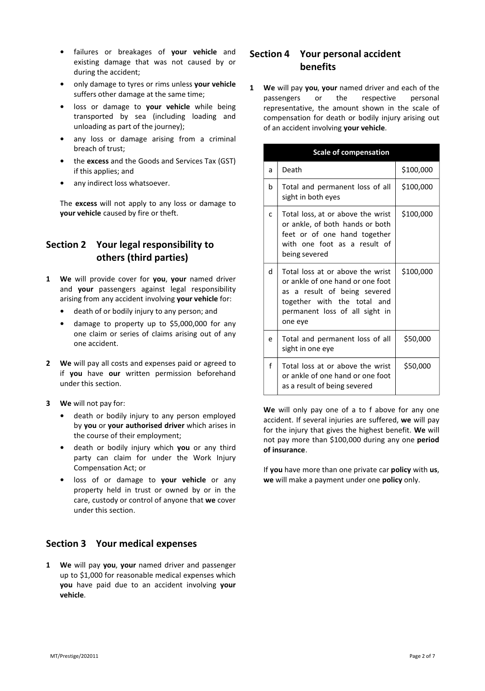- failures or breakages of your vehicle and existing damage that was not caused by or during the accident;
- only damage to tyres or rims unless your vehicle suffers other damage at the same time;
- loss or damage to your vehicle while being transported by sea (including loading and unloading as part of the journey);
- any loss or damage arising from a criminal breach of trust;
- the excess and the Goods and Services Tax (GST) if this applies; and
- any indirect loss whatsoever.

The excess will not apply to any loss or damage to your vehicle caused by fire or theft.

## Section 2 Your legal responsibility to others (third parties)

- 1 We will provide cover for you, your named driver and your passengers against legal responsibility arising from any accident involving your vehicle for:
	- death of or bodily injury to any person; and
	- damage to property up to \$5,000,000 for any one claim or series of claims arising out of any one accident.
- 2 We will pay all costs and expenses paid or agreed to if you have our written permission beforehand under this section.
- 3 We will not pay for:
	- death or bodily injury to any person employed by you or your authorised driver which arises in the course of their employment;
	- death or bodily injury which you or any third party can claim for under the Work Injury Compensation Act; or
	- loss of or damage to your vehicle or any property held in trust or owned by or in the care, custody or control of anyone that we cover under this section.

## Section 3 Your medical expenses

1 We will pay you, your named driver and passenger up to \$1,000 for reasonable medical expenses which you have paid due to an accident involving your vehicle.

## Section 4 Your personal accident benefits

1 We will pay you, your named driver and each of the passengers or the respective personal representative, the amount shown in the scale of compensation for death or bodily injury arising out of an accident involving your vehicle.

| <b>Scale of compensation</b> |                                                                                                                                                                                  |           |  |  |
|------------------------------|----------------------------------------------------------------------------------------------------------------------------------------------------------------------------------|-----------|--|--|
| a                            | Death                                                                                                                                                                            | \$100,000 |  |  |
| b                            | Total and permanent loss of all<br>sight in both eyes                                                                                                                            | \$100,000 |  |  |
| C                            | Total loss, at or above the wrist<br>or ankle, of both hands or both<br>feet or of one hand together<br>with one foot as a result of<br>being severed                            | \$100,000 |  |  |
| P.                           | Total loss at or above the wrist<br>or ankle of one hand or one foot<br>as a result of being severed<br>together with the total and<br>permanent loss of all sight in<br>one eye | \$100,000 |  |  |
| e                            | Total and permanent loss of all<br>sight in one eye                                                                                                                              | \$50,000  |  |  |
| f                            | Total loss at or above the wrist<br>or ankle of one hand or one foot<br>as a result of being severed                                                                             | \$50,000  |  |  |

We will only pay one of a to f above for any one accident. If several injuries are suffered, we will pay for the injury that gives the highest benefit. We will not pay more than \$100,000 during any one period of insurance.

If you have more than one private car policy with us, we will make a payment under one policy only.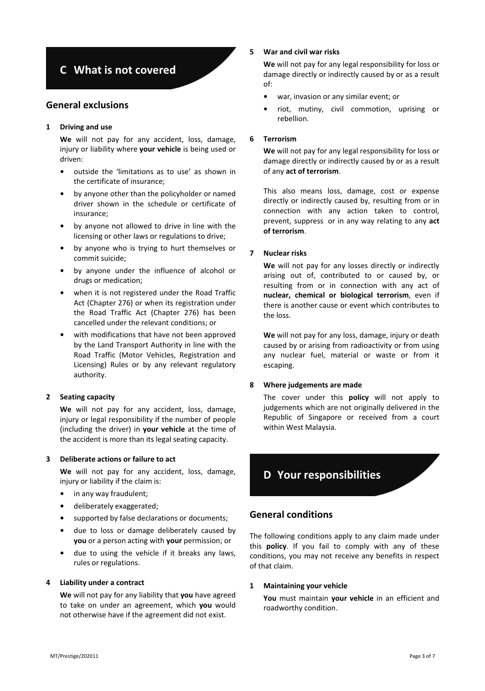# C What is not covered

## General exclusions

## 1 Driving and use

We will not pay for any accident, loss, damage, injury or liability where your vehicle is being used or driven:

- outside the 'limitations as to use' as shown in the certificate of insurance;
- by anyone other than the policyholder or named driver shown in the schedule or certificate of insurance;
- by anyone not allowed to drive in line with the licensing or other laws or regulations to drive;
- by anyone who is trying to hurt themselves or commit suicide;
- by anyone under the influence of alcohol or drugs or medication;
- when it is not registered under the Road Traffic Act (Chapter 276) or when its registration under the Road Traffic Act (Chapter 276) has been cancelled under the relevant conditions; or
- with modifications that have not been approved by the Land Transport Authority in line with the Road Traffic (Motor Vehicles, Registration and Licensing) Rules or by any relevant regulatory authority.

## 2 Seating capacity

We will not pay for any accident, loss, damage, injury or legal responsibility if the number of people (including the driver) in your vehicle at the time of the accident is more than its legal seating capacity.

#### 3 Deliberate actions or failure to act

We will not pay for any accident, loss, damage, injury or liability if the claim is:

- in any way fraudulent;
- deliberately exaggerated;
- supported by false declarations or documents;
- due to loss or damage deliberately caused by you or a person acting with your permission; or
- due to using the vehicle if it breaks any laws, rules or regulations.

#### 4 Liability under a contract

We will not pay for any liability that you have agreed to take on under an agreement, which you would not otherwise have if the agreement did not exist.

## 5 War and civil war risks

We will not pay for any legal responsibility for loss or damage directly or indirectly caused by or as a result of:

- war, invasion or any similar event; or
- riot, mutiny, civil commotion, uprising or rebellion.

#### 6 Terrorism

We will not pay for any legal responsibility for loss or damage directly or indirectly caused by or as a result of any act of terrorism.

This also means loss, damage, cost or expense directly or indirectly caused by, resulting from or in connection with any action taken to control, prevent, suppress or in any way relating to any act of terrorism.

## 7 Nuclear risks

We will not pay for any losses directly or indirectly arising out of, contributed to or caused by, or resulting from or in connection with any act of nuclear, chemical or biological terrorism, even if there is another cause or event which contributes to the loss.

We will not pay for any loss, damage, injury or death caused by or arising from radioactivity or from using any nuclear fuel, material or waste or from it escaping.

## 8 Where judgements are made

The cover under this **policy** will not apply to judgements which are not originally delivered in the Republic of Singapore or received from a court within West Malaysia.



## General conditions

The following conditions apply to any claim made under this **policy**. If you fail to comply with any of these conditions, you may not receive any benefits in respect of that claim.

#### 1 Maintaining your vehicle

You must maintain your vehicle in an efficient and roadworthy condition.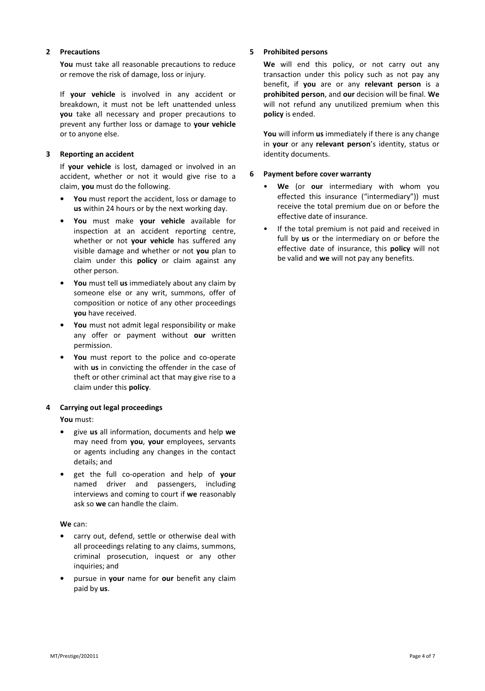## 2 Precautions

You must take all reasonable precautions to reduce or remove the risk of damage, loss or injury.

If **your vehicle** is involved in any accident or breakdown, it must not be left unattended unless you take all necessary and proper precautions to prevent any further loss or damage to your vehicle or to anyone else.

## 3 Reporting an accident

If your vehicle is lost, damaged or involved in an accident, whether or not it would give rise to a claim, you must do the following.

- You must report the accident, loss or damage to us within 24 hours or by the next working day.
- You must make your vehicle available for inspection at an accident reporting centre, whether or not your vehicle has suffered any visible damage and whether or not you plan to claim under this **policy** or claim against any other person.
- You must tell us immediately about any claim by someone else or any writ, summons, offer of composition or notice of any other proceedings vou have received.
- You must not admit legal responsibility or make any offer or payment without our written permission.
- You must report to the police and co-operate with us in convicting the offender in the case of theft or other criminal act that may give rise to a claim under this policy.

## 4 Carrying out legal proceedings

You must:

- give us all information, documents and help we may need from you, your employees, servants or agents including any changes in the contact details; and
- get the full co-operation and help of your named driver and passengers, including interviews and coming to court if we reasonably ask so we can handle the claim.

## We can:

- carry out, defend, settle or otherwise deal with all proceedings relating to any claims, summons, criminal prosecution, inquest or any other inquiries; and
- pursue in your name for our benefit any claim paid by us.

### 5 Prohibited persons

We will end this policy, or not carry out any transaction under this policy such as not pay any benefit, if you are or any relevant person is a prohibited person, and our decision will be final. We will not refund any unutilized premium when this policy is ended.

You will inform us immediately if there is any change in your or any relevant person's identity, status or identity documents.

### 6 Payment before cover warranty

- We (or our intermediary with whom you effected this insurance ("intermediary")) must receive the total premium due on or before the effective date of insurance.
- If the total premium is not paid and received in full by us or the intermediary on or before the effective date of insurance, this **policy** will not be valid and we will not pay any benefits.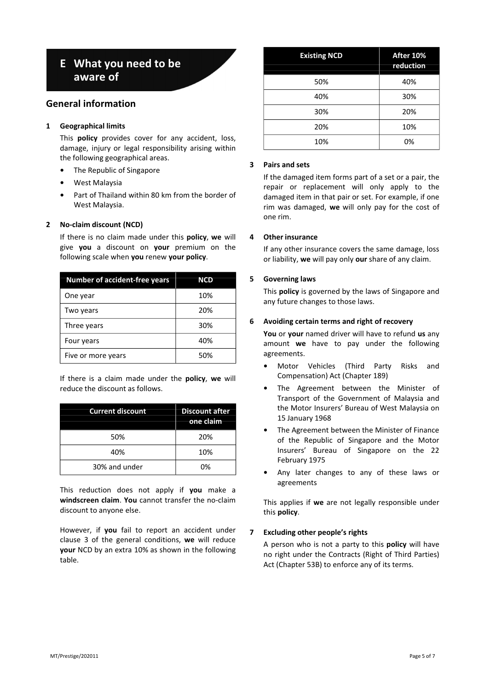# E What you need to be aware of

## General information

## 1 Geographical limits

This **policy** provides cover for any accident, loss, damage, injury or legal responsibility arising within the following geographical areas.

- The Republic of Singapore
- West Malaysia
- Part of Thailand within 80 km from the border of West Malaysia.

## 2 No-claim discount (NCD)

If there is no claim made under this **policy**, we will give you a discount on your premium on the following scale when you renew your policy.

| <b>Number of accident-free years</b> | NCD |
|--------------------------------------|-----|
| One year                             | 10% |
| Two years                            | 20% |
| Three years                          | 30% |
| Four years                           | 40% |
| Five or more years                   | 50% |

If there is a claim made under the policy, we will reduce the discount as follows.

| <b>Current discount</b> | <b>Discount after</b><br>one claim |
|-------------------------|------------------------------------|
| 50%                     | 20%                                |
| 40%                     | 10%                                |
| 30% and under           | በ%                                 |

This reduction does not apply if you make a windscreen claim. You cannot transfer the no-claim discount to anyone else.

However, if you fail to report an accident under clause 3 of the general conditions, we will reduce your NCD by an extra 10% as shown in the following table.

| <b>Existing NCD</b> | After 10%<br>reduction |
|---------------------|------------------------|
| 50%                 | 40%                    |
| 40%                 | 30%                    |
| 30%                 | 20%                    |
| 20%                 | 10%                    |
| 10%                 | 0%                     |

## 3 Pairs and sets

If the damaged item forms part of a set or a pair, the repair or replacement will only apply to the damaged item in that pair or set. For example, if one rim was damaged, we will only pay for the cost of one rim.

## 4 Other insurance

If any other insurance covers the same damage, loss or liability, we will pay only our share of any claim.

## 5 Governing laws

This **policy** is governed by the laws of Singapore and any future changes to those laws.

## 6 Avoiding certain terms and right of recovery

You or your named driver will have to refund us any amount we have to pay under the following agreements.

- Motor Vehicles (Third Party Risks and Compensation) Act (Chapter 189)
- The Agreement between the Minister of Transport of the Government of Malaysia and the Motor Insurers' Bureau of West Malaysia on 15 January 1968
- The Agreement between the Minister of Finance of the Republic of Singapore and the Motor Insurers' Bureau of Singapore on the 22 February 1975
- Any later changes to any of these laws or agreements

This applies if we are not legally responsible under this policy.

## 7 Excluding other people's rights

A person who is not a party to this **policy** will have no right under the Contracts (Right of Third Parties) Act (Chapter 53B) to enforce any of its terms.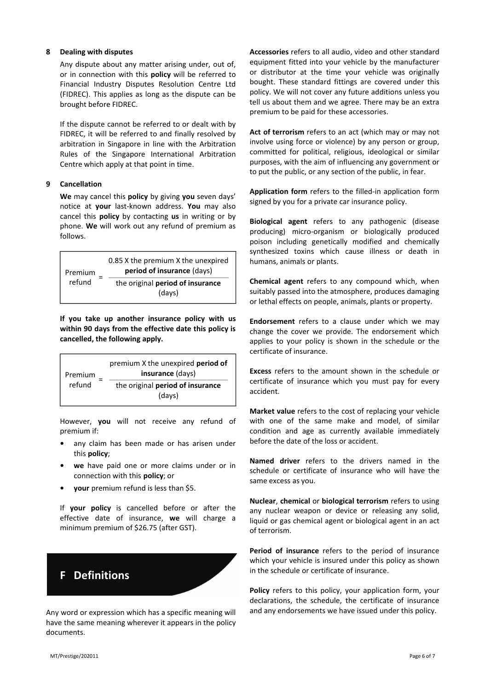#### 8 Dealing with disputes

Any dispute about any matter arising under, out of, or in connection with this policy will be referred to Financial Industry Disputes Resolution Centre Ltd (FIDREC). This applies as long as the dispute can be brought before FIDREC.

If the dispute cannot be referred to or dealt with by FIDREC, it will be referred to and finally resolved by arbitration in Singapore in line with the Arbitration Rules of the Singapore International Arbitration Centre which apply at that point in time.

#### 9 Cancellation

We may cancel this policy by giving you seven days' notice at your last-known address. You may also cancel this **policy** by contacting us in writing or by phone. We will work out any refund of premium as follows.



If you take up another insurance policy with us within 90 days from the effective date this policy is cancelled, the following apply.



However, you will not receive any refund of premium if:

- any claim has been made or has arisen under this policy;
- we have paid one or more claims under or in connection with this policy; or
- your premium refund is less than \$5.

If your policy is cancelled before or after the effective date of insurance, we will charge a minimum premium of \$26.75 (after GST).

# F Definitions

Any word or expression which has a specific meaning will have the same meaning wherever it appears in the policy documents.

Accessories refers to all audio, video and other standard equipment fitted into your vehicle by the manufacturer or distributor at the time your vehicle was originally bought. These standard fittings are covered under this policy. We will not cover any future additions unless you tell us about them and we agree. There may be an extra premium to be paid for these accessories.

Act of terrorism refers to an act (which may or may not involve using force or violence) by any person or group, committed for political, religious, ideological or similar purposes, with the aim of influencing any government or to put the public, or any section of the public, in fear.

Application form refers to the filled-in application form signed by you for a private car insurance policy.

Biological agent refers to any pathogenic (disease producing) micro-organism or biologically produced poison including genetically modified and chemically synthesized toxins which cause illness or death in humans, animals or plants.

Chemical agent refers to any compound which, when suitably passed into the atmosphere, produces damaging or lethal effects on people, animals, plants or property.

Endorsement refers to a clause under which we may change the cover we provide. The endorsement which applies to your policy is shown in the schedule or the certificate of insurance.

Excess refers to the amount shown in the schedule or certificate of insurance which you must pay for every accident.

Market value refers to the cost of replacing your vehicle with one of the same make and model, of similar condition and age as currently available immediately before the date of the loss or accident.

Named driver refers to the drivers named in the schedule or certificate of insurance who will have the same excess as you.

Nuclear, chemical or biological terrorism refers to using any nuclear weapon or device or releasing any solid, liquid or gas chemical agent or biological agent in an act of terrorism.

Period of insurance refers to the period of insurance which your vehicle is insured under this policy as shown in the schedule or certificate of insurance.

Policy refers to this policy, your application form, your declarations, the schedule, the certificate of insurance and any endorsements we have issued under this policy.